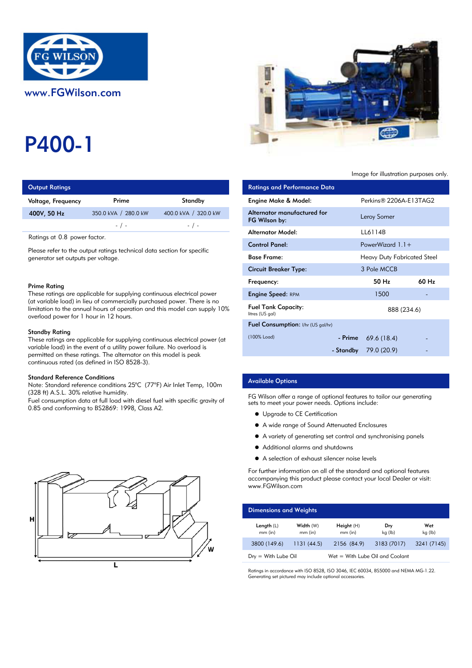

# P400-1

| <b>Output Ratings</b> |                      | <b>Ratings and Performance Data</b> |                             |
|-----------------------|----------------------|-------------------------------------|-----------------------------|
| Voltage, Frequency    | Prime                | Standby                             | Engine Make & Model:        |
| 400V, 50 Hz           | 350.0 kVA / 280.0 kW | 400.0 kVA / 320.0 kW                | Alternator manufactured for |
|                       | $-$ / $-$            | $-$ / $-$                           | FG Wilson by:               |
|                       |                      | Altomator Model.                    |                             |

Ratings at 0.8 power factor.

Please refer to the output ratings technical data section for specific generator set outputs per voltage.

#### Prime Rating

These ratings are applicable for supplying continuous electrical power (at variable load) in lieu of commercially purchased power. There is no limitation to the annual hours of operation and this model can supply 10% overload power for 1 hour in 12 hours.

#### Standby Rating

These ratings are applicable for supplying continuous electrical power (at variable load) in the event of a utility power failure. No overload is permitted on these ratings. The alternator on this model is peak continuous rated (as defined in ISO 8528-3).

#### Standard Reference Conditions

Note: Standard reference conditions 25°C (77°F) Air Inlet Temp, 100m (328 ft) A.S.L. 30% relative humidity.

Fuel consumption data at full load with diesel fuel with specific gravity of 0.85 and conforming to BS2869: 1998, Class A2.





#### Image for illustration purposes only.

| <b>Ratings and Performance Data</b>           |                             |                   |
|-----------------------------------------------|-----------------------------|-------------------|
| Engine Make & Model:                          | Perkins® 2206A-E13TAG2      |                   |
| Alternator manufactured for<br>FG Wilson by:  | Leroy Somer                 |                   |
| Alternator Model:                             | LL6114B                     |                   |
| <b>Control Panel:</b>                         | PowerWizard $1.1+$          |                   |
| <b>Base Frame:</b>                            | Heavy Duty Fabricated Steel |                   |
| Circuit Breaker Type:                         | 3 Pole MCCB                 |                   |
| Frequency:                                    | 50 H <sub>z</sub>           | 60 H <sub>z</sub> |
| Engine Speed: RPM                             | 1500                        |                   |
| <b>Fuel Tank Capacity:</b><br>litres (US gal) | 888 (234.6)                 |                   |
| <b>Fuel Consumption:</b> I/hr (US gal/hr)     |                             |                   |
| (100% Load)                                   | - Prime $69.6(18.4)$        |                   |
|                                               | - Standby 79.0 (20.9)       |                   |

## Available Options

FG Wilson offer a range of optional features to tailor our generating sets to meet your power needs. Options include:

- $\bullet$  Upgrade to CE Certification
- A wide range of Sound Attenuated Enclosures
- A variety of generating set control and synchronising panels
- Additional alarms and shutdowns
- A selection of exhaust silencer noise levels

For further information on all of the standard and optional features accompanying this product please contact your local Dealer or visit: www.FGWilson.com

| <b>Dimensions and Weights</b> |                        |                                 |                |                |
|-------------------------------|------------------------|---------------------------------|----------------|----------------|
| Length $(L)$<br>$mm$ (in)     | Width (W)<br>$mm$ (in) | Height(H)<br>$mm$ (in)          | Dry<br>kg (lb) | Wet<br>kg (lb) |
| 3800 (149.6)                  | 1131(44.5)             | 2156 (84.9)                     | 3183 (7017)    | 3241 (7145)    |
| $Dry = With Lube Oil$         |                        | Wet = With Lube Oil and Coolant |                |                |

Ratings in accordance with ISO 8528, ISO 3046, IEC 60034, BS5000 and NEMA MG-1.22. Generating set pictured may include optional accessories.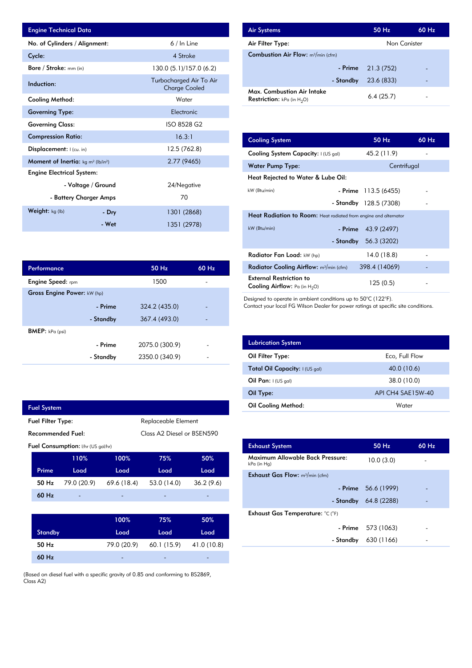| <b>Engine Technical Data</b>                       |                    |                                                 | <b>Air Systems</b>  |
|----------------------------------------------------|--------------------|-------------------------------------------------|---------------------|
| No. of Cylinders / Alignment:                      |                    | 6 / In Line                                     | Air Filter Ty       |
| Cycle:                                             |                    | 4 Stroke                                        | Combustion          |
| Bore / Stroke: mm (in)                             |                    | 130.0 (5.1)/157.0 (6.2)                         |                     |
| Induction:                                         |                    | Turbocharged Air To Air<br><b>Charge Cooled</b> | Max. Comb           |
| Cooling Method:                                    |                    | Water                                           | <b>Restriction:</b> |
| <b>Governing Type:</b>                             |                    | Electronic                                      |                     |
| <b>Governing Class:</b>                            |                    | ISO 8528 G2                                     |                     |
| <b>Compression Ratio:</b>                          |                    | 16.3:1                                          | <b>Cooling Sys</b>  |
| Displacement: I (cu. in)                           |                    | 12.5 (762.8)                                    | <b>Cooling Sys</b>  |
| <b>Moment of Inertia:</b> $kg \, m^2 \, (lb/in^2)$ |                    | 2.77 (9465)                                     | Water Pum           |
| <b>Engine Electrical System:</b>                   |                    |                                                 | <b>Heat Reject</b>  |
|                                                    | - Voltage / Ground | 24/Negative                                     |                     |
| - Battery Charger Amps                             |                    | 70                                              | kW (Btu/min)        |
| <b>Weight:</b> $kg$ (lb)                           | - Dry              | 1301 (2868)                                     | <b>Heat Radia</b>   |
|                                                    | - Wet              | 1351 (2978)                                     | kW (Btu/min)        |

| <b>Air Systems</b>                                                 | $50$ Hz             | 60 Hz |
|--------------------------------------------------------------------|---------------------|-------|
| Air Filter Type:                                                   | Non Canister        |       |
| <b>Combustion Air Flow:</b> $m^3/m$ in (cfm)                       |                     |       |
|                                                                    | - Prime $21.3(752)$ |       |
| - Standby                                                          | 23.6 (833)          |       |
| Max. Combustion Air Intake<br><b>Restriction:</b> kPa (in $H_2O$ ) | 6.4(25.7)           |       |

| 16.3:1         | <b>Cooling System</b>                                                     | 50 Hz                  | 60 Hz |
|----------------|---------------------------------------------------------------------------|------------------------|-------|
| 12.5 (762.8)   | Cooling System Capacity: I (US gal)                                       | 45.2 (11.9)            |       |
| 2.77 (9465)    | <b>Water Pump Type:</b>                                                   | Centrifugal            |       |
|                | Heat Rejected to Water & Lube Oil:                                        |                        |       |
| 24/Negative    | kW (Btu/min)                                                              | - Prime $113.5(6455)$  |       |
| 70             |                                                                           | - Standby 128.5 (7308) |       |
| 1301 (2868)    | Heat Radiation to Room: Heat radiated from engine and alternator          |                        |       |
| 1351 (2978)    | kW (Btu/min)<br>- Prime                                                   | 43.9 (2497)            |       |
|                | - Standby                                                                 | 56.3 (3202)            |       |
|                | Radiator Fan Load: kW (hp)                                                | 14.0(18.8)             |       |
| 60 Hz<br>50 Hz | Radiator Cooling Airflow: $m^3/m$ in (cfm)                                | 398.4 (14069)          |       |
| 1500           | <b>External Restriction to</b><br><b>Cooling Airflow:</b> Pa (in $H_2O$ ) | 125(0.5)               |       |

Designed to operate in ambient conditions up to 50°C (122°F).

Contact your local FG Wilson Dealer for power ratings at specific site conditions.

| <b>Lubrication System</b>      |                   |
|--------------------------------|-------------------|
| Oil Filter Type:               | Eco, Full Flow    |
| Total Oil Capacity: I (US gal) | 40.0 (10.6)       |
| Oil Pan: $1(US gal)$           | 38.0 (10.0)       |
| Oil Type:                      | API CH4 SAE15W-40 |
| Oil Cooling Method:            | Water             |

| <b>Exhaust System</b>                           | 50 Hz                 | $60$ Hz |
|-------------------------------------------------|-----------------------|---------|
| Maximum Allowable Back Pressure:<br>kPa (in Hg) | 10.0(3.0)             |         |
| <b>Exhaust Gas Flow:</b> $m^3/m$ in (cfm)       |                       |         |
|                                                 | - Prime $56.6(1999)$  |         |
|                                                 | - Standby 64.8 (2288) |         |
| Exhaust Gas Temperature: °C (°F)                |                       |         |
|                                                 | $-$ Prime 573 (1063)  |         |
| - Standby                                       | 630 (1166)            |         |
|                                                 |                       |         |

| Performance                 |           | 50 Hz          | 60 Hz |
|-----------------------------|-----------|----------------|-------|
| <b>Engine Speed:</b> rpm    |           | 1500           |       |
| Gross Engine Power: kW (hp) |           |                |       |
|                             | - Prime   | 324.2 (435.0)  |       |
|                             | - Standby | 367.4 (493.0)  |       |
| <b>BMEP:</b> kPa (psi)      |           |                |       |
|                             | - Prime   | 2075.0 (300.9) |       |
|                             | - Standby | 2350.0 (340.9) |       |

| <b>Fuel System</b> |                                                 |             |                            |           |
|--------------------|-------------------------------------------------|-------------|----------------------------|-----------|
|                    | <b>Fuel Filter Type:</b><br>Replaceable Element |             |                            |           |
|                    | Recommended Fuel:                               |             | Class A2 Diesel or BSEN590 |           |
|                    | Fuel Consumption: I/hr (US gal/hr)              |             |                            |           |
|                    | 110%                                            | 100%        | 75%                        | 50%       |
| Prime              | Load                                            | Load        | Load                       | Load      |
| 50 Hz              | 79.0 (20.9)                                     | 69.6 (18.4) | 53.0 (14.0)                | 36.2(9.6) |
| $60$ Hz            |                                                 |             |                            |           |
|                    |                                                 |             |                            |           |
|                    |                                                 | 100%        | 75%                        | 50%       |
| Standby            |                                                 | Load        | Load                       | Load      |

(Based on diesel fuel with a specific gravity of 0.85 and conforming to BS2869, Class A2)

- 79.0 (20.9)

- 41.0 (10.8)

- 60.1 (15.9)

60 Hz 50 Hz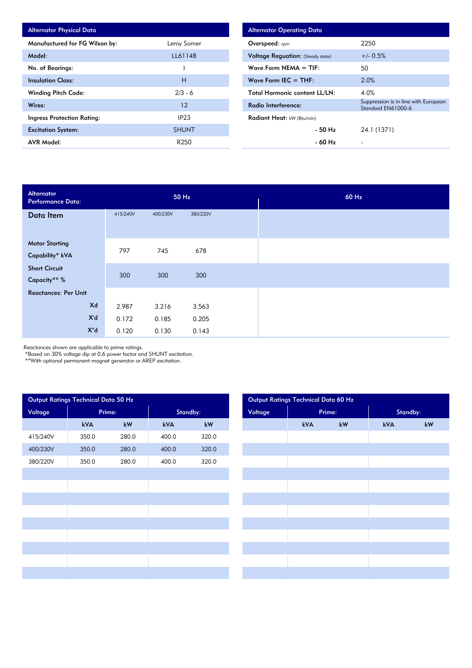| <b>Alternator Physical Data</b> |                  |
|---------------------------------|------------------|
| Manufactured for FG Wilson by:  | Leroy Somer      |
| Model:                          | LL6114B          |
| No. of Bearings:                |                  |
| <b>Insulation Class:</b>        | н                |
| <b>Winding Pitch Code:</b>      | $2/3 - 6$        |
| Wires:                          | 12               |
| Ingress Protection Rating:      | IP <sub>23</sub> |
| <b>Excitation System:</b>       | <b>SHUNT</b>     |
| <b>AVR Model:</b>               | R250             |

| <b>Alternator Operating Data</b>         |                                                            |
|------------------------------------------|------------------------------------------------------------|
| Overspeed: $r_{\text{pm}}$               | 2250                                                       |
| <b>Voltage Requation:</b> (Steady state) | $+/- 0.5%$                                                 |
| Wave Form NEMA $=$ TIF:                  | 50                                                         |
| Wave Form IEC $=$ THF:                   | 2.0%                                                       |
| <b>Total Harmonic content LL/LN:</b>     | 4.0%                                                       |
| Radio Interference:                      | Suppression is in line with European<br>Standard EN61000-6 |
| Radiant Heat: kW (Btu/min)               |                                                            |
| - 50 Hz                                  | 24.1 (1371)                                                |
| - 60 Hz                                  |                                                            |

| Alternator<br><b>Performance Data:</b> |          | 50 Hz    |          |  |  |  |
|----------------------------------------|----------|----------|----------|--|--|--|
| Data Item                              | 415/240V | 400/230V | 380/220V |  |  |  |
|                                        |          |          |          |  |  |  |
| <b>Motor Starting</b>                  | 797      | 745      | 678      |  |  |  |
| Capability* kVA                        |          |          |          |  |  |  |
| <b>Short Circuit</b>                   |          |          |          |  |  |  |
| Capacity** %                           | 300      | 300      | 300      |  |  |  |
| <b>Reactances: Per Unit</b>            |          |          |          |  |  |  |
| Xd                                     | 2.987    | 3.216    | 3.563    |  |  |  |
| X'd                                    | 0.172    | 0.185    | 0.205    |  |  |  |
| $X^{\prime\prime}$ d                   | 0.120    | 0.130    | 0.143    |  |  |  |

Reactances shown are applicable to prime ratings.

\*Based on 30% voltage dip at 0.6 power factor and SHUNT excitation.

\*\*With optional permanent magnet generator or AREP excitation.

|          | Output Ratings Technical Data 50 Hz |                        |          | Output Ratings Technical Data 60 Hz |         |  |     |        |          |
|----------|-------------------------------------|------------------------|----------|-------------------------------------|---------|--|-----|--------|----------|
| Voltage  | Prime:                              |                        | Standby: |                                     | Voltage |  |     | Prime: | Standby: |
|          | kVA                                 | $\mathsf{k}\mathsf{W}$ | kVA      | $kW$                                |         |  | kVA | kW     | kVA      |
| 415/240V | 350.0                               | 280.0                  | 400.0    | 320.0                               |         |  |     |        |          |
| 400/230V | 350.0                               | 280.0                  | 400.0    | 320.0                               |         |  |     |        |          |
| 380/220V | 350.0                               | 280.0                  | 400.0    | 320.0                               |         |  |     |        |          |
|          |                                     |                        |          |                                     |         |  |     |        |          |
|          |                                     |                        |          |                                     |         |  |     |        |          |
|          |                                     |                        |          |                                     |         |  |     |        |          |
|          |                                     |                        |          |                                     |         |  |     |        |          |
|          |                                     |                        |          |                                     |         |  |     |        |          |
|          |                                     |                        |          |                                     |         |  |     |        |          |
|          |                                     |                        |          |                                     |         |  |     |        |          |
|          |                                     |                        |          |                                     |         |  |     |        |          |
|          |                                     |                        |          |                                     |         |  |     |        |          |